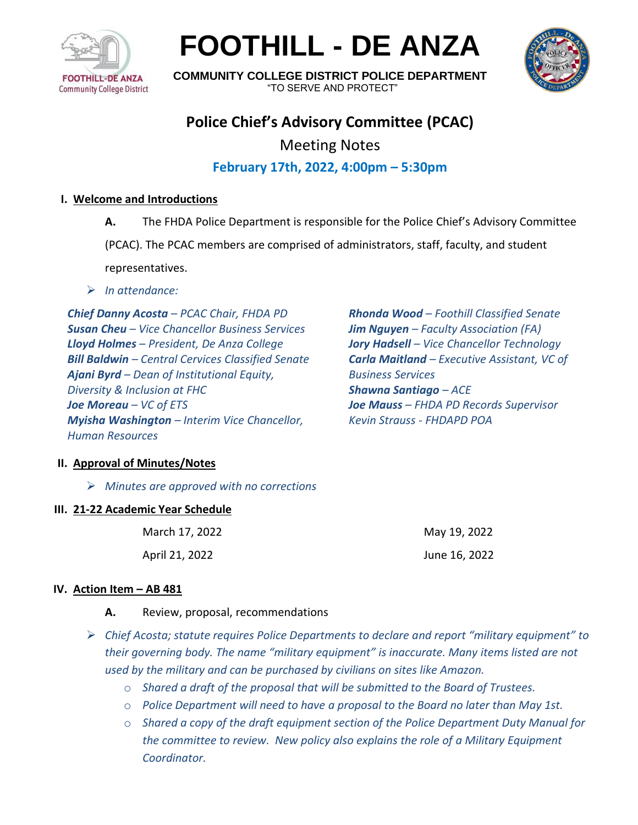

**FOOTHILL - DE ANZA**



**COMMUNITY COLLEGE DISTRICT POLICE DEPARTMENT** "TO SERVE AND PROTECT"

# **Police Chief's Advisory Committee (PCAC)**

Meeting Notes

## **February 17th, 2022, 4:00pm – 5:30pm**

#### **I. Welcome and Introductions**

- **A.** The FHDA Police Department is responsible for the Police Chief's Advisory Committee (PCAC). The PCAC members are comprised of administrators, staff, faculty, and student representatives.
- ➢ *In attendance:*

*Chief Danny Acosta – PCAC Chair, FHDA PD Susan Cheu – Vice Chancellor Business Services Lloyd Holmes – President, De Anza College Bill Baldwin – Central Cervices Classified Senate Ajani Byrd – Dean of Institutional Equity, Diversity & Inclusion at FHC Joe Moreau – VC of ETS Myisha Washington – Interim Vice Chancellor, Human Resources* 

*Rhonda Wood – Foothill Classified Senate Jim Nguyen – Faculty Association (FA) Jory Hadsell – Vice Chancellor Technology Carla Maitland – Executive Assistant, VC of Business Services Shawna Santiago – ACE Joe Mauss – FHDA PD Records Supervisor Kevin Strauss - FHDAPD POA*

## **II. Approval of Minutes/Notes**

➢ *Minutes are approved with no corrections*

#### **III. 21-22 Academic Year Schedule**

March 17, 2022 April 21, 2022

May 19, 2022 June 16, 2022

## **IV. Action Item – AB 481**

- **A.** Review, proposal, recommendations
- ➢ *Chief Acosta; statute requires Police Departments to declare and report "military equipment" to their governing body. The name "military equipment" is inaccurate. Many items listed are not used by the military and can be purchased by civilians on sites like Amazon.*
	- o *Shared a draft of the proposal that will be submitted to the Board of Trustees.*
	- o *Police Department will need to have a proposal to the Board no later than May 1st.*
	- o *Shared a copy of the draft equipment section of the Police Department Duty Manual for the committee to review. New policy also explains the role of a Military Equipment Coordinator.*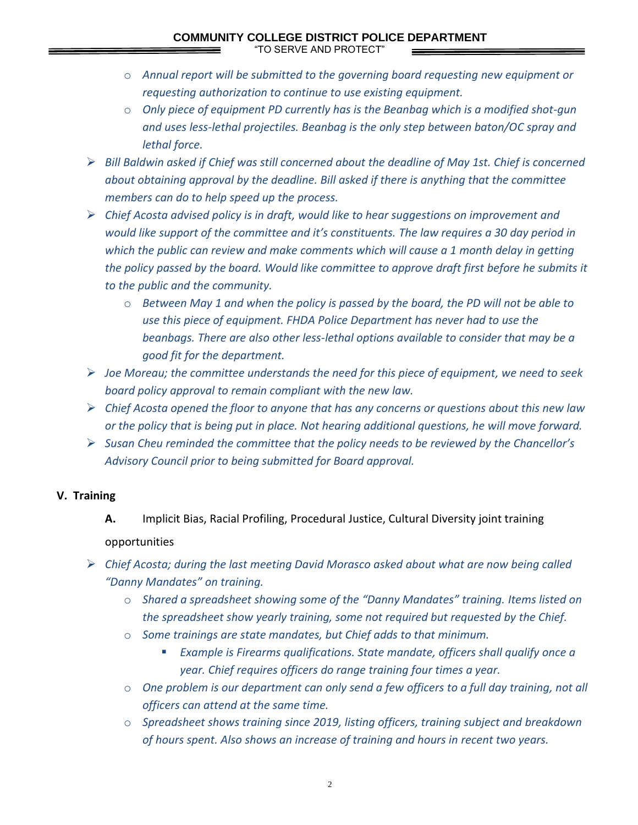## **COMMUNITY COLLEGE DISTRICT POLICE DEPARTMENT**

"TO SERVE AND PROTECT"

- o *Annual report will be submitted to the governing board requesting new equipment or requesting authorization to continue to use existing equipment.*
- o *Only piece of equipment PD currently has is the Beanbag which is a modified shot-gun and uses less-lethal projectiles. Beanbag is the only step between baton/OC spray and lethal force.*
- ➢ *Bill Baldwin asked if Chief was still concerned about the deadline of May 1st. Chief is concerned about obtaining approval by the deadline. Bill asked if there is anything that the committee members can do to help speed up the process.*
- ➢ *Chief Acosta advised policy is in draft, would like to hear suggestions on improvement and would like support of the committee and it's constituents. The law requires a 30 day period in which the public can review and make comments which will cause a 1 month delay in getting the policy passed by the board. Would like committee to approve draft first before he submits it to the public and the community.*
	- o *Between May 1 and when the policy is passed by the board, the PD will not be able to use this piece of equipment. FHDA Police Department has never had to use the beanbags. There are also other less-lethal options available to consider that may be a good fit for the department.*
- ➢ *Joe Moreau; the committee understands the need for this piece of equipment, we need to seek board policy approval to remain compliant with the new law.*
- ➢ *Chief Acosta opened the floor to anyone that has any concerns or questions about this new law or the policy that is being put in place. Not hearing additional questions, he will move forward.*
- ➢ *Susan Cheu reminded the committee that the policy needs to be reviewed by the Chancellor's Advisory Council prior to being submitted for Board approval.*

#### **V. Training**

- **A.** Implicit Bias, Racial Profiling, Procedural Justice, Cultural Diversity joint training opportunities
- ➢ *Chief Acosta; during the last meeting David Morasco asked about what are now being called "Danny Mandates" on training.*
	- o *Shared a spreadsheet showing some of the "Danny Mandates" training. Items listed on the spreadsheet show yearly training, some not required but requested by the Chief.*
	- o *Some trainings are state mandates, but Chief adds to that minimum.* 
		- *Example is Firearms qualifications. State mandate, officers shall qualify once a year. Chief requires officers do range training four times a year.*
	- o *One problem is our department can only send a few officers to a full day training, not all officers can attend at the same time.*
	- o *Spreadsheet shows training since 2019, listing officers, training subject and breakdown of hours spent. Also shows an increase of training and hours in recent two years.*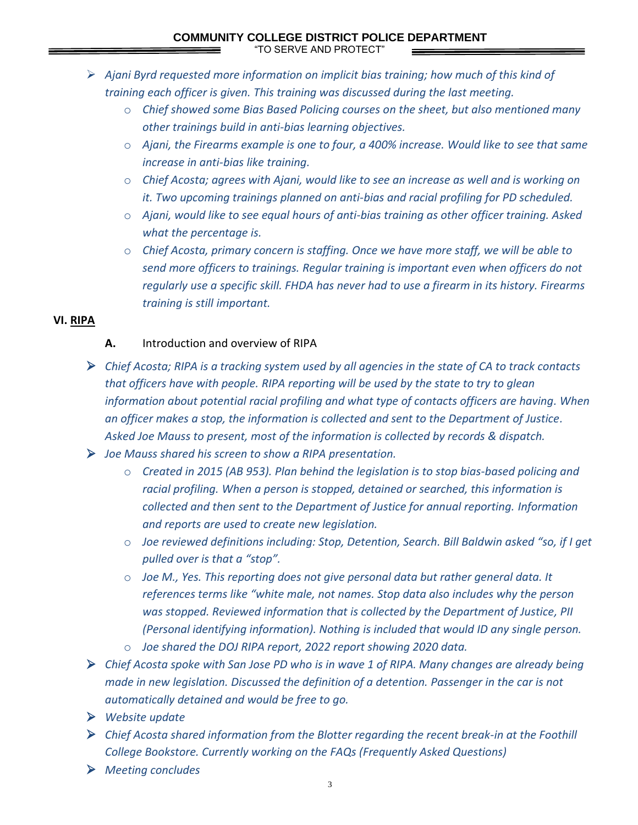#### **COMMUNITY COLLEGE DISTRICT POLICE DEPARTMENT**

"TO SERVE AND PROTECT"

- ➢ *Ajani Byrd requested more information on implicit bias training; how much of this kind of training each officer is given. This training was discussed during the last meeting.*
	- o *Chief showed some Bias Based Policing courses on the sheet, but also mentioned many other trainings build in anti-bias learning objectives.*
	- o *Ajani, the Firearms example is one to four, a 400% increase. Would like to see that same increase in anti-bias like training.*
	- o *Chief Acosta; agrees with Ajani, would like to see an increase as well and is working on it. Two upcoming trainings planned on anti-bias and racial profiling for PD scheduled.*
	- o *Ajani, would like to see equal hours of anti-bias training as other officer training. Asked what the percentage is.*
	- o *Chief Acosta, primary concern is staffing. Once we have more staff, we will be able to send more officers to trainings. Regular training is important even when officers do not regularly use a specific skill. FHDA has never had to use a firearm in its history. Firearms training is still important.*

#### **VI. RIPA**

#### **A.** Introduction and overview of RIPA

- ➢ *Chief Acosta; RIPA is a tracking system used by all agencies in the state of CA to track contacts that officers have with people. RIPA reporting will be used by the state to try to glean information about potential racial profiling and what type of contacts officers are having. When an officer makes a stop, the information is collected and sent to the Department of Justice. Asked Joe Mauss to present, most of the information is collected by records & dispatch.*
- ➢ *Joe Mauss shared his screen to show a RIPA presentation.*
	- o *Created in 2015 (AB 953). Plan behind the legislation is to stop bias-based policing and racial profiling. When a person is stopped, detained or searched, this information is collected and then sent to the Department of Justice for annual reporting. Information and reports are used to create new legislation.*
	- o *Joe reviewed definitions including: Stop, Detention, Search. Bill Baldwin asked "so, if I get pulled over is that a "stop".*
	- o *Joe M., Yes. This reporting does not give personal data but rather general data. It references terms like "white male, not names. Stop data also includes why the person was stopped. Reviewed information that is collected by the Department of Justice, PII (Personal identifying information). Nothing is included that would ID any single person.*
	- o *Joe shared the DOJ RIPA report, 2022 report showing 2020 data.*
- ➢ *Chief Acosta spoke with San Jose PD who is in wave 1 of RIPA. Many changes are already being made in new legislation. Discussed the definition of a detention. Passenger in the car is not automatically detained and would be free to go.*
- ➢ *Website update*
- ➢ *Chief Acosta shared information from the Blotter regarding the recent break-in at the Foothill College Bookstore. Currently working on the FAQs (Frequently Asked Questions)*
- ➢ *Meeting concludes*